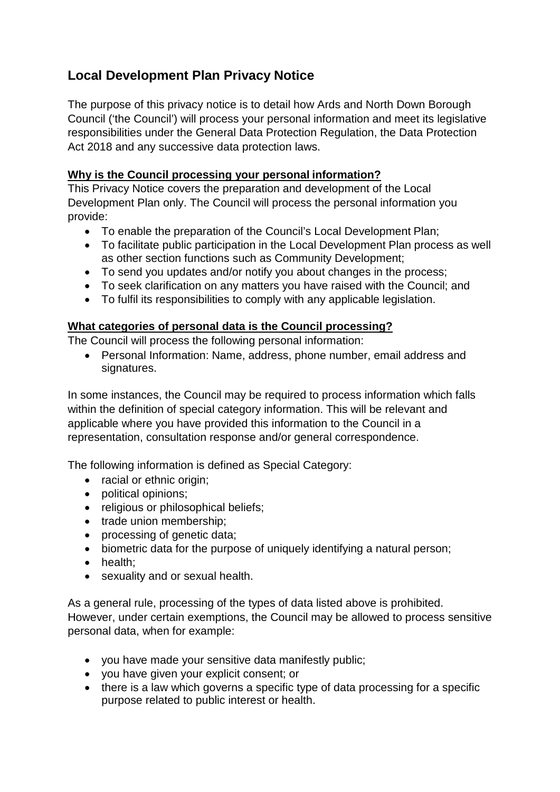# **Local Development Plan Privacy Notice**

The purpose of this privacy notice is to detail how Ards and North Down Borough Council ('the Council') will process your personal information and meet its legislative responsibilities under the General Data Protection Regulation, the Data Protection Act 2018 and any successive data protection laws.

## **Why is the Council processing your personal information?**

This Privacy Notice covers the preparation and development of the Local Development Plan only. The Council will process the personal information you provide:

- To enable the preparation of the Council's Local Development Plan;
- To facilitate public participation in the Local Development Plan process as well as other section functions such as Community Development;
- To send you updates and/or notify you about changes in the process;
- To seek clarification on any matters you have raised with the Council; and
- To fulfil its responsibilities to comply with any applicable legislation.

# **What categories of personal data is the Council processing?**

The Council will process the following personal information:

• Personal Information: Name, address, phone number, email address and signatures.

In some instances, the Council may be required to process information which falls within the definition of special category information. This will be relevant and applicable where you have provided this information to the Council in a representation, consultation response and/or general correspondence.

The following information is defined as Special Category:

- racial or ethnic origin;
- political opinions;
- religious or philosophical beliefs;
- trade union membership:
- processing of genetic data;
- biometric data for the purpose of uniquely identifying a natural person;
- health;
- sexuality and or sexual health.

As a general rule, processing of the types of data listed above is prohibited. However, under certain exemptions, the Council may be allowed to process sensitive personal data, when for example:

- you have made your sensitive data manifestly public;
- you have given your explicit consent; or
- there is a law which governs a specific type of data processing for a specific purpose related to public interest or health.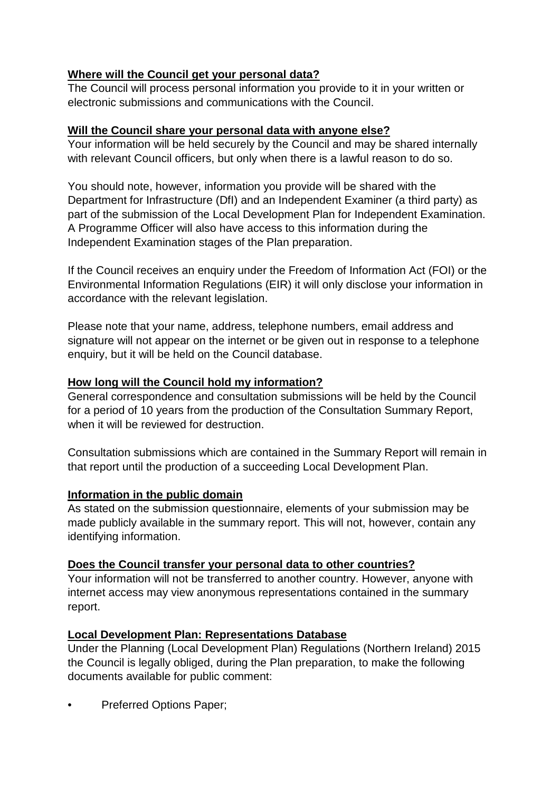# **Where will the Council get your personal data?**

The Council will process personal information you provide to it in your written or electronic submissions and communications with the Council.

#### **Will the Council share your personal data with anyone else?**

Your information will be held securely by the Council and may be shared internally with relevant Council officers, but only when there is a lawful reason to do so.

You should note, however, information you provide will be shared with the Department for Infrastructure (DfI) and an Independent Examiner (a third party) as part of the submission of the Local Development Plan for Independent Examination. A Programme Officer will also have access to this information during the Independent Examination stages of the Plan preparation.

If the Council receives an enquiry under the Freedom of Information Act (FOI) or the Environmental Information Regulations (EIR) it will only disclose your information in accordance with the relevant legislation.

Please note that your name, address, telephone numbers, email address and signature will not appear on the internet or be given out in response to a telephone enquiry, but it will be held on the Council database.

# **How long will the Council hold my information?**

General correspondence and consultation submissions will be held by the Council for a period of 10 years from the production of the Consultation Summary Report, when it will be reviewed for destruction.

Consultation submissions which are contained in the Summary Report will remain in that report until the production of a succeeding Local Development Plan.

## **Information in the public domain**

As stated on the submission questionnaire, elements of your submission may be made publicly available in the summary report. This will not, however, contain any identifying information.

## **Does the Council transfer your personal data to other countries?**

Your information will not be transferred to another country. However, anyone with internet access may view anonymous representations contained in the summary report.

## **Local Development Plan: Representations Database**

Under the Planning (Local Development Plan) Regulations (Northern Ireland) 2015 the Council is legally obliged, during the Plan preparation, to make the following documents available for public comment:

• Preferred Options Paper;